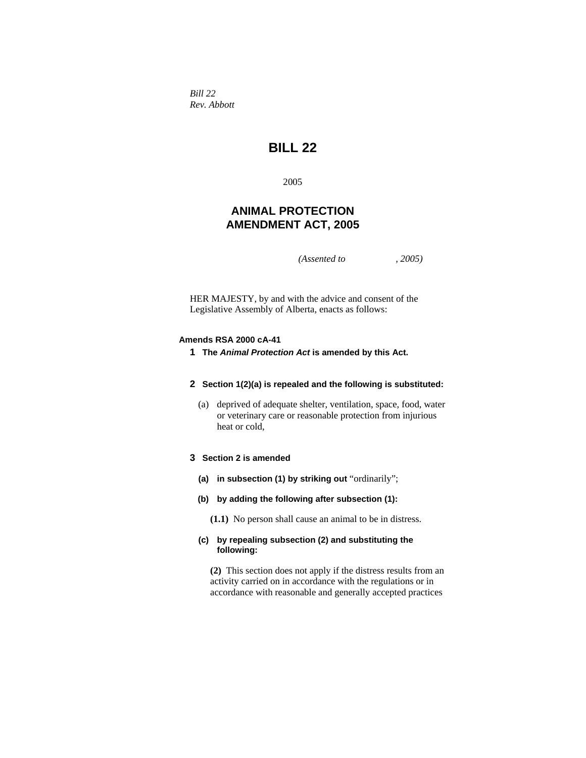*Bill 22 Rev. Abbott* 

# **BILL 22**

2005

# **ANIMAL PROTECTION AMENDMENT ACT, 2005**

*(Assented to , 2005)* 

HER MAJESTY, by and with the advice and consent of the Legislative Assembly of Alberta, enacts as follows:

#### **Amends RSA 2000 cA-41**

**1 The** *Animal Protection Act* **is amended by this Act.**

#### **2 Section 1(2)(a) is repealed and the following is substituted:**

 (a) deprived of adequate shelter, ventilation, space, food, water or veterinary care or reasonable protection from injurious heat or cold,

# **3 Section 2 is amended**

- **(a) in subsection (1) by striking out** "ordinarily";
- **(b) by adding the following after subsection (1):**
	- **(1.1)** No person shall cause an animal to be in distress.

# **(c) by repealing subsection (2) and substituting the following:**

**(2)** This section does not apply if the distress results from an activity carried on in accordance with the regulations or in accordance with reasonable and generally accepted practices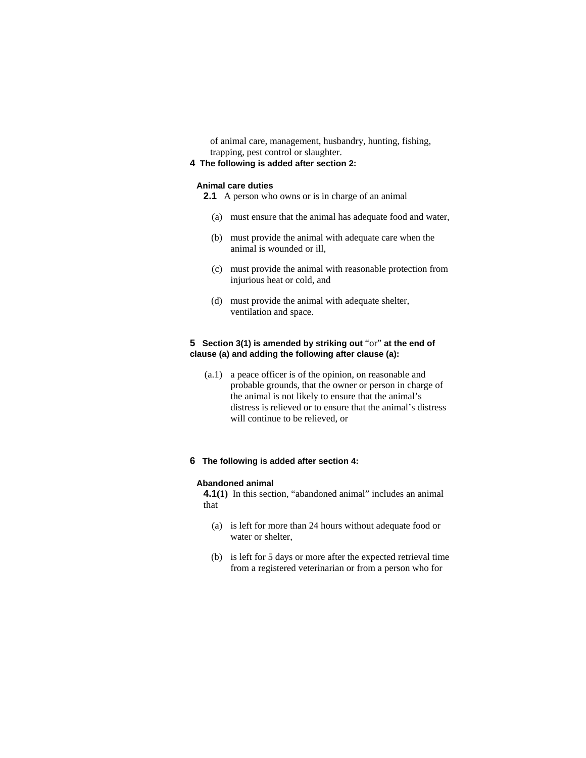of animal care, management, husbandry, hunting, fishing, trapping, pest control or slaughter.

# **4 The following is added after section 2:**

#### **Animal care duties**

- **2.1** A person who owns or is in charge of an animal
	- (a) must ensure that the animal has adequate food and water,
	- (b) must provide the animal with adequate care when the animal is wounded or ill,
	- (c) must provide the animal with reasonable protection from injurious heat or cold, and
	- (d) must provide the animal with adequate shelter, ventilation and space.

## **5 Section 3(1) is amended by striking out** "or" **at the end of clause (a) and adding the following after clause (a):**

 (a.1) a peace officer is of the opinion, on reasonable and probable grounds, that the owner or person in charge of the animal is not likely to ensure that the animal's distress is relieved or to ensure that the animal's distress will continue to be relieved, or

#### **6 The following is added after section 4:**

#### **Abandoned animal**

**4.1(1)** In this section, "abandoned animal" includes an animal that

- (a) is left for more than 24 hours without adequate food or water or shelter,
- (b) is left for 5 days or more after the expected retrieval time from a registered veterinarian or from a person who for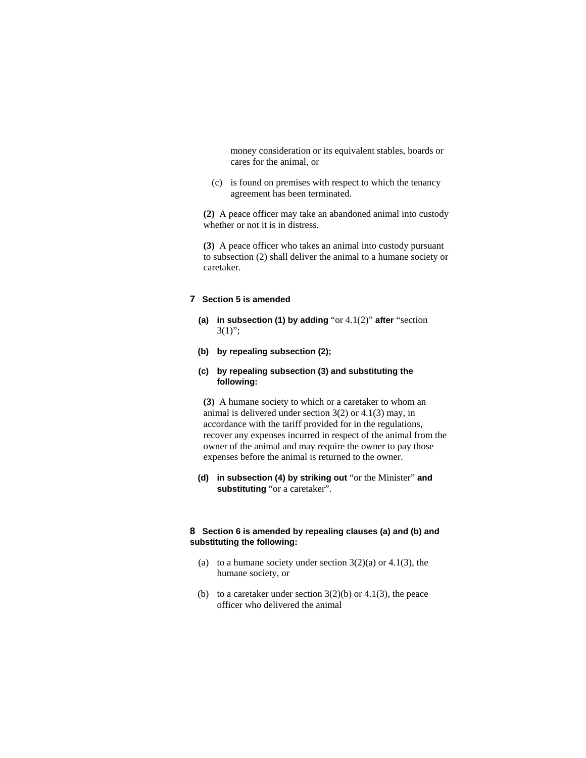money consideration or its equivalent stables, boards or cares for the animal, or

 (c) is found on premises with respect to which the tenancy agreement has been terminated.

**(2)** A peace officer may take an abandoned animal into custody whether or not it is in distress.

**(3)** A peace officer who takes an animal into custody pursuant to subsection (2) shall deliver the animal to a humane society or caretaker.

## **7 Section 5 is amended**

- **(a) in subsection (1) by adding** "or 4.1(2)" **after** "section  $3(1)$ ";
- **(b) by repealing subsection (2);**

#### **(c) by repealing subsection (3) and substituting the following:**

**(3)** A humane society to which or a caretaker to whom an animal is delivered under section 3(2) or 4.1(3) may, in accordance with the tariff provided for in the regulations, recover any expenses incurred in respect of the animal from the owner of the animal and may require the owner to pay those expenses before the animal is returned to the owner.

**(d) in subsection (4) by striking out** "or the Minister" **and substituting** "or a caretaker".

## **8 Section 6 is amended by repealing clauses (a) and (b) and substituting the following:**

- (a) to a humane society under section  $3(2)(a)$  or  $4.1(3)$ , the humane society, or
- (b) to a caretaker under section  $3(2)(b)$  or  $4.1(3)$ , the peace officer who delivered the animal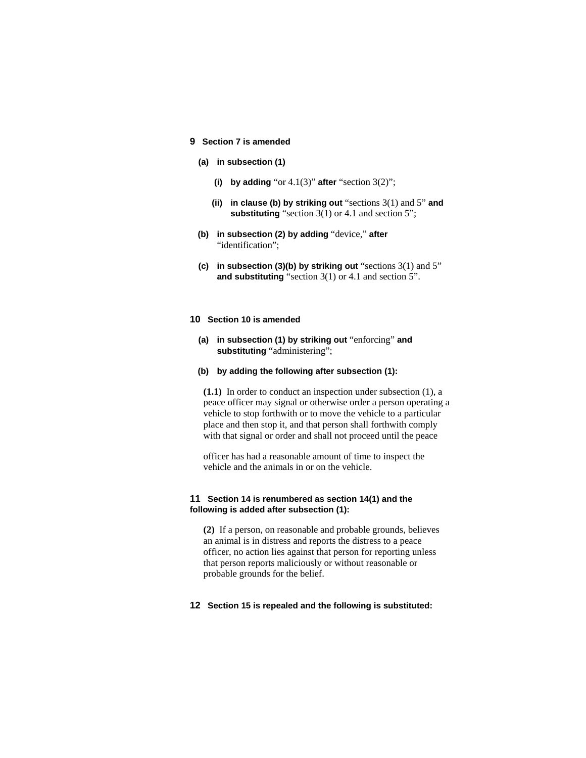#### **9 Section 7 is amended**

- **(a) in subsection (1)** 
	- **(i)** by adding "or  $4.1(3)$ " after "section  $3(2)$ ";
	- **(ii) in clause (b) by striking out** "sections 3(1) and 5" **and substituting** "section 3(1) or 4.1 and section 5";
- **(b) in subsection (2) by adding** "device," **after**  "identification":
- **(c)** in subsection (3)(b) by striking out "sections 3(1) and 5" **and substituting** "section 3(1) or 4.1 and section 5".

#### **10 Section 10 is amended**

- **(a) in subsection (1) by striking out** "enforcing" **and substituting** "administering";
- **(b) by adding the following after subsection (1):**

**(1.1)** In order to conduct an inspection under subsection (1), a peace officer may signal or otherwise order a person operating a vehicle to stop forthwith or to move the vehicle to a particular place and then stop it, and that person shall forthwith comply with that signal or order and shall not proceed until the peace

officer has had a reasonable amount of time to inspect the vehicle and the animals in or on the vehicle.

#### **11 Section 14 is renumbered as section 14(1) and the following is added after subsection (1):**

**(2)** If a person, on reasonable and probable grounds, believes an animal is in distress and reports the distress to a peace officer, no action lies against that person for reporting unless that person reports maliciously or without reasonable or probable grounds for the belief.

**12 Section 15 is repealed and the following is substituted:**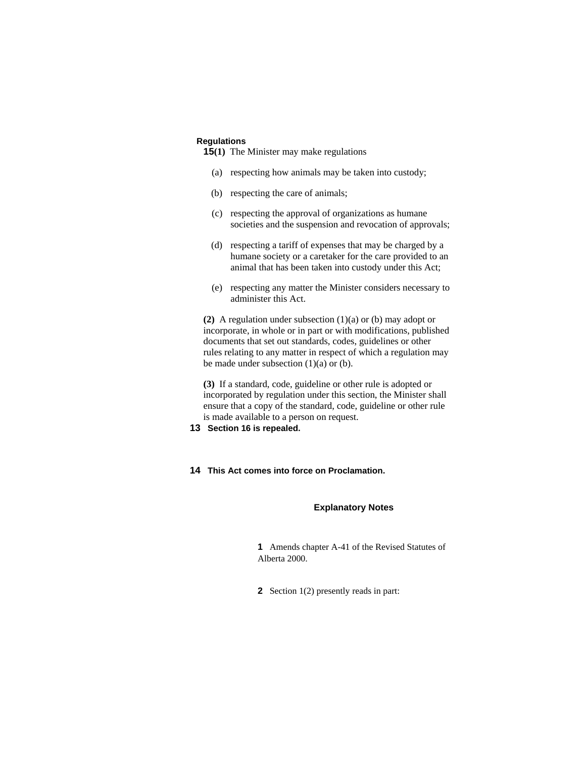#### **Regulations**

- **15(1)** The Minister may make regulations
	- (a) respecting how animals may be taken into custody;
	- (b) respecting the care of animals;
	- (c) respecting the approval of organizations as humane societies and the suspension and revocation of approvals;
	- (d) respecting a tariff of expenses that may be charged by a humane society or a caretaker for the care provided to an animal that has been taken into custody under this Act;
	- (e) respecting any matter the Minister considers necessary to administer this Act.

**(2)** A regulation under subsection (1)(a) or (b) may adopt or incorporate, in whole or in part or with modifications, published documents that set out standards, codes, guidelines or other rules relating to any matter in respect of which a regulation may be made under subsection  $(1)(a)$  or  $(b)$ .

**(3)** If a standard, code, guideline or other rule is adopted or incorporated by regulation under this section, the Minister shall ensure that a copy of the standard, code, guideline or other rule is made available to a person on request.

**13 Section 16 is repealed.** 

#### **14 This Act comes into force on Proclamation.**

#### **Explanatory Notes**

**1** Amends chapter A-41 of the Revised Statutes of Alberta 2000.

**2** Section 1(2) presently reads in part: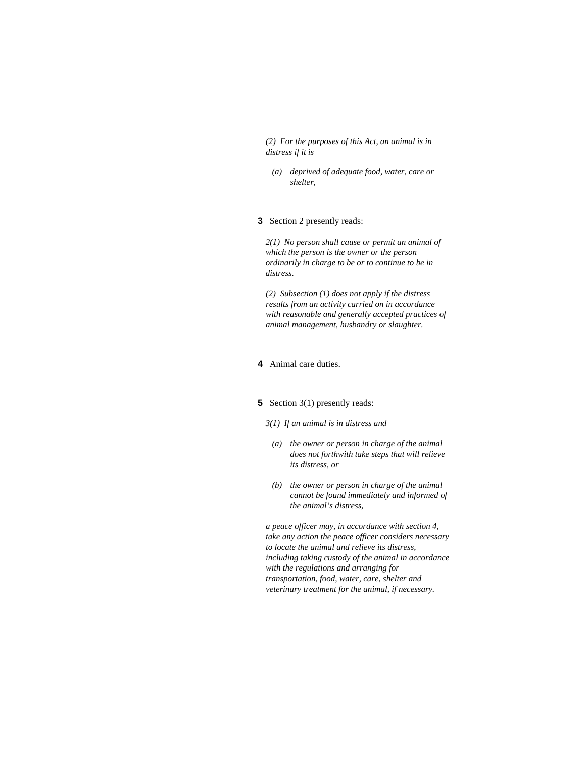*(2) For the purposes of this Act, an animal is in distress if it is* 

 *(a) deprived of adequate food, water, care or shelter,* 

## **3** Section 2 presently reads:

*2(1) No person shall cause or permit an animal of which the person is the owner or the person ordinarily in charge to be or to continue to be in distress.* 

*(2) Subsection (1) does not apply if the distress results from an activity carried on in accordance with reasonable and generally accepted practices of animal management, husbandry or slaughter.* 

## **4** Animal care duties.

#### **5** Section 3(1) presently reads:

#### *3(1) If an animal is in distress and*

- *(a) the owner or person in charge of the animal does not forthwith take steps that will relieve its distress, or*
- *(b) the owner or person in charge of the animal cannot be found immediately and informed of the animal's distress,*

*a peace officer may, in accordance with section 4, take any action the peace officer considers necessary to locate the animal and relieve its distress, including taking custody of the animal in accordance with the regulations and arranging for transportation, food, water, care, shelter and veterinary treatment for the animal, if necessary.*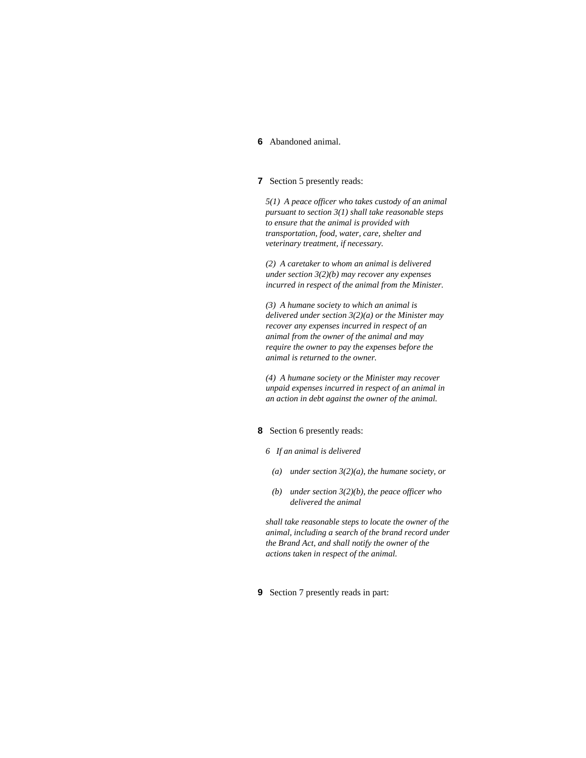#### **6** Abandoned animal.

### **7** Section 5 presently reads:

*5(1) A peace officer who takes custody of an animal pursuant to section 3(1) shall take reasonable steps to ensure that the animal is provided with transportation, food, water, care, shelter and veterinary treatment, if necessary.* 

*(2) A caretaker to whom an animal is delivered under section 3(2)(b) may recover any expenses incurred in respect of the animal from the Minister.* 

*(3) A humane society to which an animal is delivered under section 3(2)(a) or the Minister may recover any expenses incurred in respect of an animal from the owner of the animal and may require the owner to pay the expenses before the animal is returned to the owner.* 

*(4) A humane society or the Minister may recover unpaid expenses incurred in respect of an animal in an action in debt against the owner of the animal.* 

#### **8** Section 6 presently reads:

- *6 If an animal is delivered* 
	- *(a) under section 3(2)(a), the humane society, or*
- *(b) under section 3(2)(b), the peace officer who delivered the animal*

*shall take reasonable steps to locate the owner of the animal, including a search of the brand record under the Brand Act, and shall notify the owner of the actions taken in respect of the animal.* 

**9** Section 7 presently reads in part: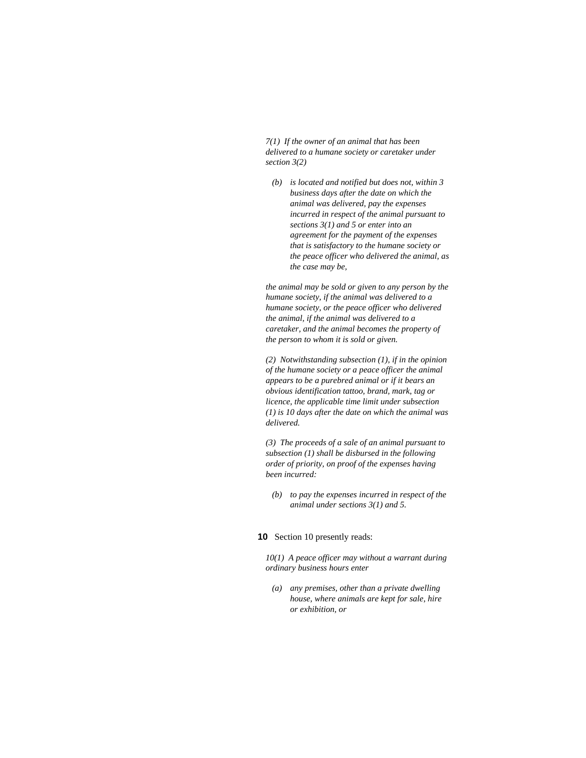*7(1) If the owner of an animal that has been delivered to a humane society or caretaker under section 3(2)* 

 *(b) is located and notified but does not, within 3 business days after the date on which the animal was delivered, pay the expenses incurred in respect of the animal pursuant to sections 3(1) and 5 or enter into an agreement for the payment of the expenses that is satisfactory to the humane society or the peace officer who delivered the animal, as the case may be,* 

*the animal may be sold or given to any person by the humane society, if the animal was delivered to a humane society, or the peace officer who delivered the animal, if the animal was delivered to a caretaker, and the animal becomes the property of the person to whom it is sold or given.* 

*(2) Notwithstanding subsection (1), if in the opinion of the humane society or a peace officer the animal appears to be a purebred animal or if it bears an obvious identification tattoo, brand, mark, tag or licence, the applicable time limit under subsection (1) is 10 days after the date on which the animal was delivered.* 

*(3) The proceeds of a sale of an animal pursuant to subsection (1) shall be disbursed in the following order of priority, on proof of the expenses having been incurred:* 

 *(b) to pay the expenses incurred in respect of the animal under sections 3(1) and 5.* 

## **10** Section 10 presently reads:

*10(1) A peace officer may without a warrant during ordinary business hours enter* 

 *(a) any premises, other than a private dwelling house, where animals are kept for sale, hire or exhibition, or*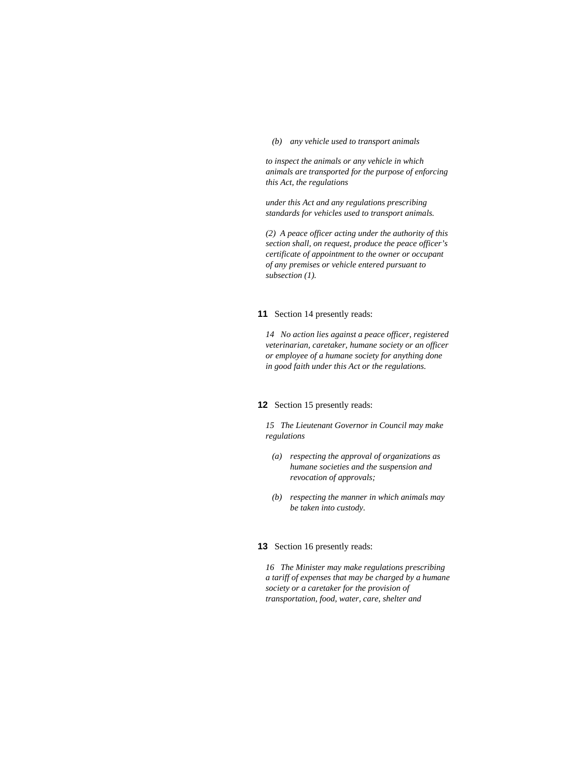*(b) any vehicle used to transport animals* 

*to inspect the animals or any vehicle in which animals are transported for the purpose of enforcing this Act, the regulations* 

*under this Act and any regulations prescribing standards for vehicles used to transport animals.* 

*(2) A peace officer acting under the authority of this section shall, on request, produce the peace officer's certificate of appointment to the owner or occupant of any premises or vehicle entered pursuant to subsection (1).* 

#### **11** Section 14 presently reads:

*14 No action lies against a peace officer, registered veterinarian, caretaker, humane society or an officer or employee of a humane society for anything done in good faith under this Act or the regulations.* 

#### **12** Section 15 presently reads:

*15 The Lieutenant Governor in Council may make regulations* 

- *(a) respecting the approval of organizations as humane societies and the suspension and revocation of approvals;*
- *(b) respecting the manner in which animals may be taken into custody.*

# **13** Section 16 presently reads:

*16 The Minister may make regulations prescribing a tariff of expenses that may be charged by a humane society or a caretaker for the provision of transportation, food, water, care, shelter and*